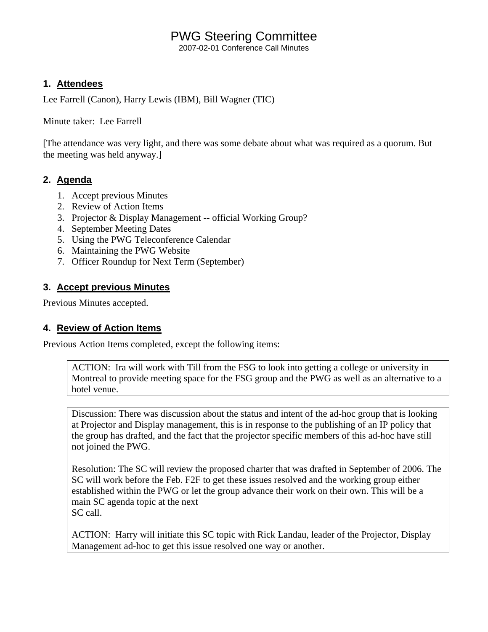# PWG Steering Committee

2007-02-01 Conference Call Minutes

### **1. Attendees**

Lee Farrell (Canon), Harry Lewis (IBM), Bill Wagner (TIC)

Minute taker: Lee Farrell

[The attendance was very light, and there was some debate about what was required as a quorum. But the meeting was held anyway.]

### **2. Agenda**

- 1. Accept previous Minutes
- 2. Review of Action Items
- 3. Projector & Display Management -- official Working Group?
- 4. September Meeting Dates
- 5. Using the PWG Teleconference Calendar
- 6. Maintaining the PWG Website
- 7. Officer Roundup for Next Term (September)

## **3. Accept previous Minutes**

Previous Minutes accepted.

## **4. Review of Action Items**

Previous Action Items completed, except the following items:

ACTION: Ira will work with Till from the FSG to look into getting a college or university in Montreal to provide meeting space for the FSG group and the PWG as well as an alternative to a hotel venue.

Discussion: There was discussion about the status and intent of the ad-hoc group that is looking at Projector and Display management, this is in response to the publishing of an IP policy that the group has drafted, and the fact that the projector specific members of this ad-hoc have still not joined the PWG.

Resolution: The SC will review the proposed charter that was drafted in September of 2006. The SC will work before the Feb. F2F to get these issues resolved and the working group either established within the PWG or let the group advance their work on their own. This will be a main SC agenda topic at the next SC call.

ACTION: Harry will initiate this SC topic with Rick Landau, leader of the Projector, Display Management ad-hoc to get this issue resolved one way or another.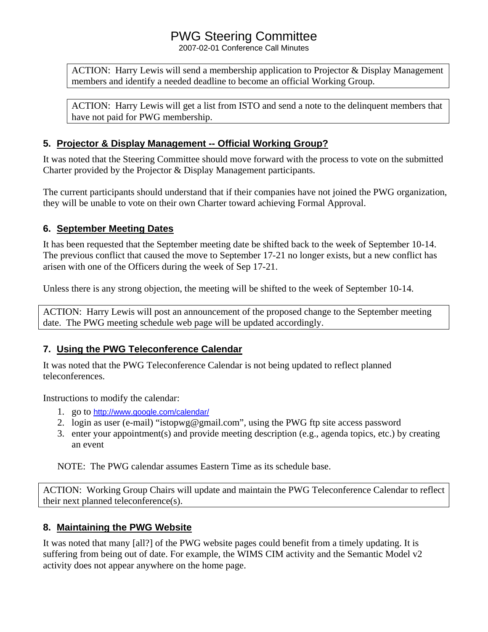## PWG Steering Committee

2007-02-01 Conference Call Minutes

ACTION: Harry Lewis will send a membership application to Projector & Display Management members and identify a needed deadline to become an official Working Group.

ACTION: Harry Lewis will get a list from ISTO and send a note to the delinquent members that have not paid for PWG membership.

### **5. Projector & Display Management -- Official Working Group?**

It was noted that the Steering Committee should move forward with the process to vote on the submitted Charter provided by the Projector & Display Management participants.

The current participants should understand that if their companies have not joined the PWG organization, they will be unable to vote on their own Charter toward achieving Formal Approval.

### **6. September Meeting Dates**

It has been requested that the September meeting date be shifted back to the week of September 10-14. The previous conflict that caused the move to September 17-21 no longer exists, but a new conflict has arisen with one of the Officers during the week of Sep 17-21.

Unless there is any strong objection, the meeting will be shifted to the week of September 10-14.

ACTION: Harry Lewis will post an announcement of the proposed change to the September meeting date. The PWG meeting schedule web page will be updated accordingly.

## **7. Using the PWG Teleconference Calendar**

It was noted that the PWG Teleconference Calendar is not being updated to reflect planned teleconferences.

Instructions to modify the calendar:

- 1. go to <http://www.google.com/calendar/>
- 2. login as user (e-mail) "istopwg@gmail.com", using the PWG ftp site access password
- 3. enter your appointment(s) and provide meeting description (e.g., agenda topics, etc.) by creating an event

NOTE: The PWG calendar assumes Eastern Time as its schedule base.

ACTION: Working Group Chairs will update and maintain the PWG Teleconference Calendar to reflect their next planned teleconference(s).

## **8. Maintaining the PWG Website**

It was noted that many [all?] of the PWG website pages could benefit from a timely updating. It is suffering from being out of date. For example, the WIMS CIM activity and the Semantic Model v2 activity does not appear anywhere on the home page.